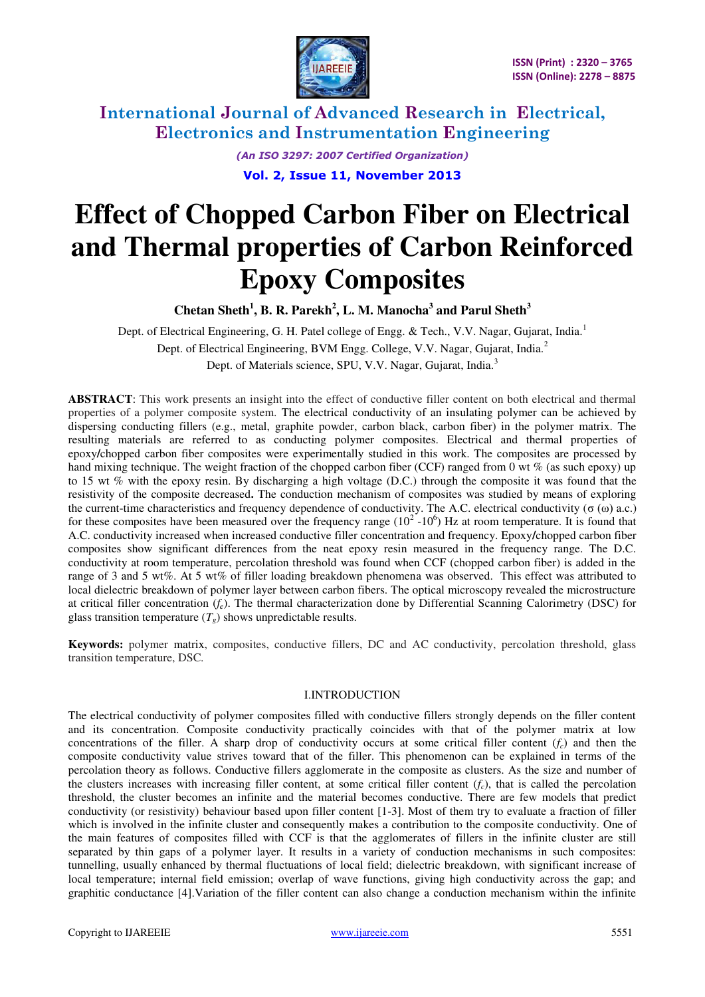

> *(An ISO 3297: 2007 Certified Organization)*  **Vol. 2, Issue 11, November 2013**

**Effect of Chopped Carbon Fiber on Electrical and Thermal properties of Carbon Reinforced Epoxy Composites** 

**Chetan Sheth<sup>1</sup> , B. R. Parekh<sup>2</sup> , L. M. Manocha<sup>3</sup> and Parul Sheth<sup>3</sup>**

Dept. of Electrical Engineering, G. H. Patel college of Engg. & Tech., V.V. Nagar, Gujarat, India.<sup>1</sup> Dept. of Electrical Engineering, BVM Engg. College, V.V. Nagar, Gujarat, India.<sup>2</sup> Dept. of Materials science, SPU, V.V. Nagar, Gujarat, India.<sup>3</sup>

**ABSTRACT**: This work presents an insight into the effect of conductive filler content on both electrical and thermal properties of a polymer composite system. The electrical conductivity of an insulating polymer can be achieved by dispersing conducting fillers (e.g., metal, graphite powder, carbon black, carbon fiber) in the polymer matrix. The resulting materials are referred to as conducting polymer composites. Electrical and thermal properties of epoxy**/**chopped carbon fiber composites were experimentally studied in this work. The composites are processed by hand mixing technique. The weight fraction of the chopped carbon fiber (CCF) ranged from 0 wt % (as such epoxy) up to 15 wt % with the epoxy resin. By discharging a high voltage (D.C.) through the composite it was found that the resistivity of the composite decreased**.** The conduction mechanism of composites was studied by means of exploring the current-time characteristics and frequency dependence of conductivity. The A.C. electrical conductivity (σ  $(ω)$  a.c.) for these composites have been measured over the frequency range  $(10^2 - 10^6)$  Hz at room temperature. It is found that A.C. conductivity increased when increased conductive filler concentration and frequency. Epoxy**/**chopped carbon fiber composites show significant differences from the neat epoxy resin measured in the frequency range. The D.C. conductivity at room temperature, percolation threshold was found when CCF (chopped carbon fiber) is added in the range of 3 and 5 wt%. At 5 wt% of filler loading breakdown phenomena was observed. This effect was attributed to local dielectric breakdown of polymer layer between carbon fibers. The optical microscopy revealed the microstructure at critical filler concentration (*fc*). The thermal characterization done by Differential Scanning Calorimetry (DSC) for glass transition temperature  $(T_g)$  shows unpredictable results.

**Keywords:** polymer matrix, composites, conductive fillers, DC and AC conductivity, percolation threshold, glass transition temperature, DSC*.*

### I.INTRODUCTION

The electrical conductivity of polymer composites filled with conductive fillers strongly depends on the filler content and its concentration. Composite conductivity practically coincides with that of the polymer matrix at low concentrations of the filler. A sharp drop of conductivity occurs at some critical filler content  $(f_c)$  and then the composite conductivity value strives toward that of the filler. This phenomenon can be explained in terms of the percolation theory as follows. Conductive fillers agglomerate in the composite as clusters. As the size and number of the clusters increases with increasing filler content, at some critical filler content (*fc*), that is called the percolation threshold, the cluster becomes an infinite and the material becomes conductive. There are few models that predict conductivity (or resistivity) behaviour based upon filler content [1-3]. Most of them try to evaluate a fraction of filler which is involved in the infinite cluster and consequently makes a contribution to the composite conductivity. One of the main features of composites filled with CCF is that the agglomerates of fillers in the infinite cluster are still separated by thin gaps of a polymer layer. It results in a variety of conduction mechanisms in such composites: tunnelling, usually enhanced by thermal fluctuations of local field; dielectric breakdown, with significant increase of local temperature; internal field emission; overlap of wave functions, giving high conductivity across the gap; and graphitic conductance [4].Variation of the filler content can also change a conduction mechanism within the infinite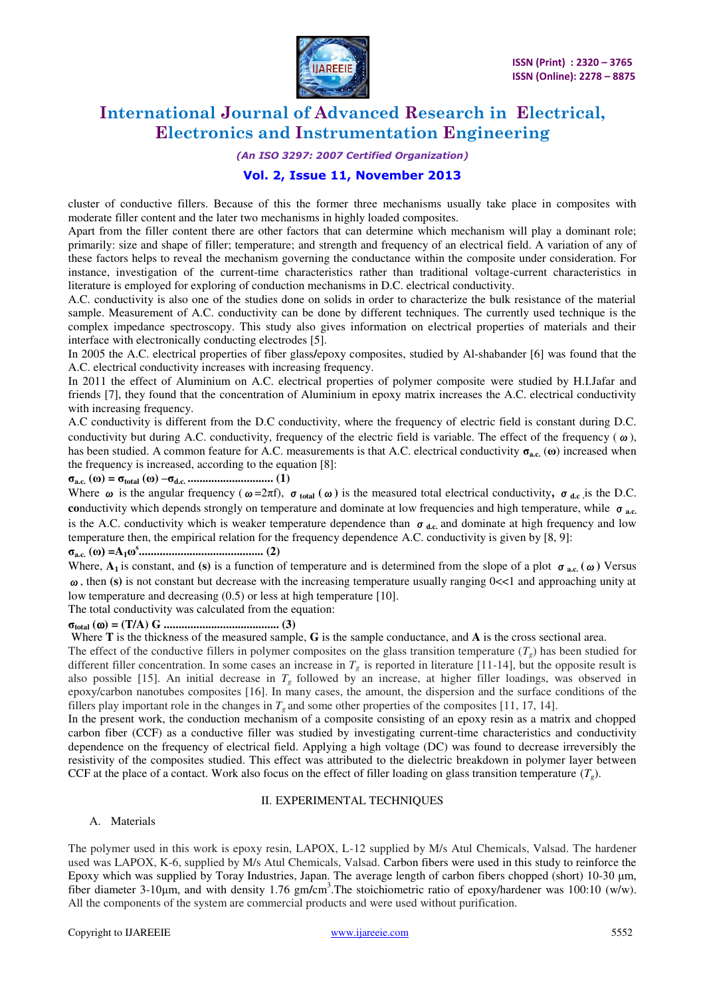

### *(An ISO 3297: 2007 Certified Organization)*

### **Vol. 2, Issue 11, November 2013**

cluster of conductive fillers. Because of this the former three mechanisms usually take place in composites with moderate filler content and the later two mechanisms in highly loaded composites.

Apart from the filler content there are other factors that can determine which mechanism will play a dominant role; primarily: size and shape of filler; temperature; and strength and frequency of an electrical field. A variation of any of these factors helps to reveal the mechanism governing the conductance within the composite under consideration. For instance, investigation of the current-time characteristics rather than traditional voltage-current characteristics in literature is employed for exploring of conduction mechanisms in D.C. electrical conductivity.

A.C. conductivity is also one of the studies done on solids in order to characterize the bulk resistance of the material sample. Measurement of A.C. conductivity can be done by different techniques. The currently used technique is the complex impedance spectroscopy. This study also gives information on electrical properties of materials and their interface with electronically conducting electrodes [5].

In 2005 the A.C. electrical properties of fiber glass**/**epoxy composites, studied by Al-shabander [6] was found that the A.C. electrical conductivity increases with increasing frequency.

In 2011 the effect of Aluminium on A.C. electrical properties of polymer composite were studied by H.I.Jafar and friends [7], they found that the concentration of Aluminium in epoxy matrix increases the A.C. electrical conductivity with increasing frequency.

A.C conductivity is different from the D.C conductivity, where the frequency of electric field is constant during D.C. conductivity but during A.C. conductivity, frequency of the electric field is variable. The effect of the frequency ( $\omega$ ), has been studied. A common feature for A.C. measurements is that A.C. electrical conductivity **σa.c.** (**ω**) increased when the frequency is increased, according to the equation [8]:

#### **σa.c. (ω) = σtotal (ω) –σd.c. ............................. (1)**

Where  $\omega$  is the angular frequency ( $\omega = 2\pi f$ ),  $\sigma_{total}(\omega)$  is the measured total electrical conductivity,  $\sigma_{dc}$  is the D.C. **co**nductivity which depends strongly on temperature and dominate at low frequencies and high temperature, while σ**a.c.**  is the A.C. conductivity which is weaker temperature dependence than  $σ_{d.c.}$  and dominate at high frequency and low temperature then, the empirical relation for the frequency dependence A.C. conductivity is given by [8, 9]:

### **σa.c. (ω) =A1ω s .......................................... (2)**

Where,  $A_1$  is constant, and **(s)** is a function of temperature and is determined from the slope of a plot  $\sigma_{ac}$  ( $\omega$ ) Versus  $\omega$ , then (s) is not constant but decrease with the increasing temperature usually ranging  $0 \ll 1$  and approaching unity at low temperature and decreasing (0.5) or less at high temperature [10].

The total conductivity was calculated from the equation:

#### **σtotal () = (T/A) G ....................................... (3)**

Where **T** is the thickness of the measured sample, **G** is the sample conductance, and **A** is the cross sectional area.

The effect of the conductive fillers in polymer composites on the glass transition temperature  $(T<sub>g</sub>)$  has been studied for different filler concentration. In some cases an increase in  $T_g$  is reported in literature [11-14], but the opposite result is also possible [15]. An initial decrease in  $T_g$  followed by an increase, at higher filler loadings, was observed in epoxy/carbon nanotubes composites [16]. In many cases, the amount, the dispersion and the surface conditions of the fillers play important role in the changes in  $T_g$  and some other properties of the composites [11, 17, 14].

In the present work, the conduction mechanism of a composite consisting of an epoxy resin as a matrix and chopped carbon fiber (CCF) as a conductive filler was studied by investigating current-time characteristics and conductivity dependence on the frequency of electrical field. Applying a high voltage (DC) was found to decrease irreversibly the resistivity of the composites studied. This effect was attributed to the dielectric breakdown in polymer layer between CCF at the place of a contact. Work also focus on the effect of filler loading on glass transition temperature  $(T<sub>e</sub>)$ .

#### II. EXPERIMENTAL TECHNIQUES

### A. Materials

The polymer used in this work is epoxy resin, LAPOX, L-12 supplied by M/s Atul Chemicals, Valsad. The hardener used was LAPOX, K-6, supplied by M/s Atul Chemicals, Valsad. Carbon fibers were used in this study to reinforce the Epoxy which was supplied by Toray Industries, Japan. The average length of carbon fibers chopped (short) 10-30 μm, fiber diameter 3-10μm, and with density 1.76 gm**/**cm<sup>3</sup> .The stoichiometric ratio of epoxy/hardener was 100:10 (w/w). All the components of the system are commercial products and were used without purification.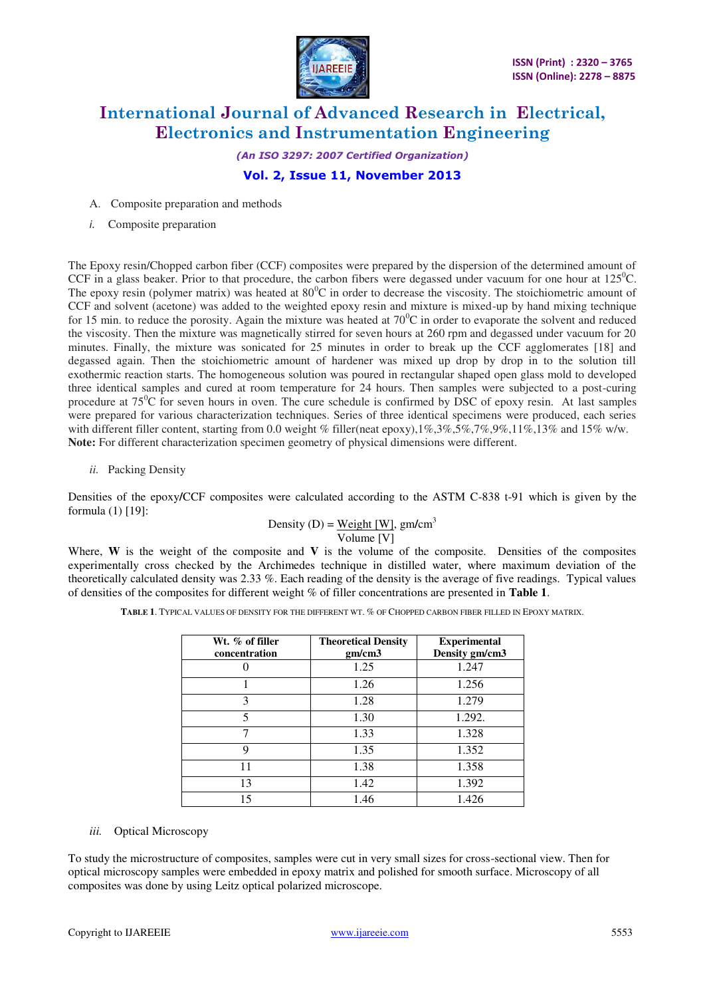

*(An ISO 3297: 2007 Certified Organization)*  **Vol. 2, Issue 11, November 2013** 

A. Composite preparation and methods

*i.* Composite preparation

The Epoxy resin/Chopped carbon fiber (CCF) composites were prepared by the dispersion of the determined amount of CCF in a glass beaker. Prior to that procedure, the carbon fibers were degassed under vacuum for one hour at  $125^{\circ}$ C. The epoxy resin (polymer matrix) was heated at  $80^{\circ}$ C in order to decrease the viscosity. The stoichiometric amount of CCF and solvent (acetone) was added to the weighted epoxy resin and mixture is mixed-up by hand mixing technique for 15 min. to reduce the porosity. Again the mixture was heated at  $70^{\circ}$ C in order to evaporate the solvent and reduced the viscosity. Then the mixture was magnetically stirred for seven hours at 260 rpm and degassed under vacuum for 20 minutes. Finally, the mixture was sonicated for 25 minutes in order to break up the CCF agglomerates [18] and degassed again. Then the stoichiometric amount of hardener was mixed up drop by drop in to the solution till exothermic reaction starts. The homogeneous solution was poured in rectangular shaped open glass mold to developed three identical samples and cured at room temperature for 24 hours. Then samples were subjected to a post-curing procedure at  $75^{\circ}$ C for seven hours in oven. The cure schedule is confirmed by DSC of epoxy resin. At last samples were prepared for various characterization techniques. Series of three identical specimens were produced, each series with different filler content, starting from 0.0 weight % filler(neat epoxy),1%,3%,5%,7%,9%,11%,13% and 15% w/w. **Note:** For different characterization specimen geometry of physical dimensions were different.

*ii.* Packing Density

Densities of the epoxy**/**CCF composites were calculated according to the ASTM C-838 t-91 which is given by the formula (1) [19]:

> Density (D) =  $Weight [W]$ , gm/cm<sup>3</sup></u> Volume [V]

Where, W is the weight of the composite and V is the volume of the composite. Densities of the composites experimentally cross checked by the Archimedes technique in distilled water, where maximum deviation of the theoretically calculated density was 2.33 %. Each reading of the density is the average of five readings. Typical values of densities of the composites for different weight % of filler concentrations are presented in **Table 1**.

**TABLE 1**. TYPICAL VALUES OF DENSITY FOR THE DIFFERENT WT. % OF CHOPPED CARBON FIBER FILLED IN EPOXY MATRIX.

| Wt. % of filler<br>concentration | <b>Theoretical Density</b><br>gm/cm3 | <b>Experimental</b><br>Density gm/cm3 |  |  |
|----------------------------------|--------------------------------------|---------------------------------------|--|--|
|                                  | 1.25                                 | 1.247                                 |  |  |
|                                  | 1.26                                 | 1.256                                 |  |  |
| 3                                | 1.28                                 | 1.279                                 |  |  |
| 5                                | 1.30                                 | 1.292.                                |  |  |
| 7                                | 1.33                                 | 1.328                                 |  |  |
| 9                                | 1.35                                 | 1.352                                 |  |  |
| 11                               | 1.38                                 | 1.358                                 |  |  |
| 13                               | 1.42                                 | 1.392                                 |  |  |
| 15                               | 1.46                                 | 1.426                                 |  |  |

### *iii.* Optical Microscopy

To study the microstructure of composites, samples were cut in very small sizes for cross-sectional view. Then for optical microscopy samples were embedded in epoxy matrix and polished for smooth surface. Microscopy of all composites was done by using Leitz optical polarized microscope.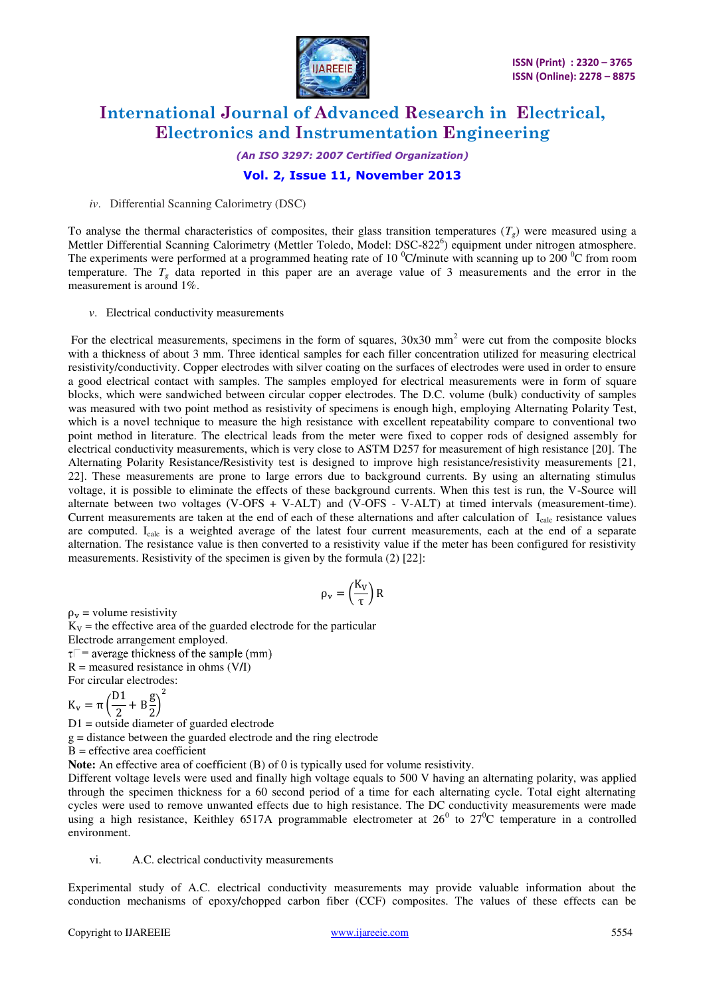

*(An ISO 3297: 2007 Certified Organization)* 

### **Vol. 2, Issue 11, November 2013**

*iv*. Differential Scanning Calorimetry (DSC)

To analyse the thermal characteristics of composites, their glass transition temperatures  $(T_g)$  were measured using a Mettler Differential Scanning Calorimetry (Mettler Toledo, Model: DSC-822<sup>6</sup>) equipment under nitrogen atmosphere. The experiments were performed at a programmed heating rate of 10 <sup>0</sup>C/minute with scanning up to 200 <sup>0</sup>C from room temperature. The  $T_g$  data reported in this paper are an average value of 3 measurements and the error in the measurement is around 1%.

*v*. Electrical conductivity measurements

For the electrical measurements, specimens in the form of squares,  $30x30$  mm<sup>2</sup> were cut from the composite blocks with a thickness of about 3 mm. Three identical samples for each filler concentration utilized for measuring electrical resistivity/conductivity. Copper electrodes with silver coating on the surfaces of electrodes were used in order to ensure a good electrical contact with samples. The samples employed for electrical measurements were in form of square blocks, which were sandwiched between circular copper electrodes. The D.C. volume (bulk) conductivity of samples was measured with two point method as resistivity of specimens is enough high, employing Alternating Polarity Test, which is a novel technique to measure the high resistance with excellent repeatability compare to conventional two point method in literature. The electrical leads from the meter were fixed to copper rods of designed assembly for electrical conductivity measurements, which is very close to ASTM D257 for measurement of high resistance [20]. The Alternating Polarity Resistance**/**Resistivity test is designed to improve high resistance/resistivity measurements [21, 22]. These measurements are prone to large errors due to background currents. By using an alternating stimulus voltage, it is possible to eliminate the effects of these background currents. When this test is run, the V-Source will alternate between two voltages (V-OFS + V-ALT) and (V-OFS - V-ALT) at timed intervals (measurement-time). Current measurements are taken at the end of each of these alternations and after calculation of  $I_{calc}$  resistance values are computed. I<sub>calc</sub> is a weighted average of the latest four current measurements, each at the end of a separate alternation. The resistance value is then converted to a resistivity value if the meter has been configured for resistivity measurements. Resistivity of the specimen is given by the formula (2) [22]:

$$
\rho_v = \left(\!\frac{K_V}{\tau}\!\right) R
$$

 $\rho_{\rm v}$  = volume resistivity

 $K_V$  = the effective area of the guarded electrode for the particular Electrode arrangement employed.  $\tau$  = average thickness of the sample (mm) R = measured resistance in ohms (V**/**I) For circular electrodes:

 $K_v = \pi \left(\frac{D1}{2} + B\frac{g}{2}\right)$  $\frac{1}{2}$  $\overline{\mathbf{c}}$ 

D1 = outside diameter of guarded electrode

g = distance between the guarded electrode and the ring electrode

 $B =$  effective area coefficient

**Note:** An effective area of coefficient (B) of 0 is typically used for volume resistivity.

Different voltage levels were used and finally high voltage equals to 500 V having an alternating polarity, was applied through the specimen thickness for a 60 second period of a time for each alternating cycle. Total eight alternating cycles were used to remove unwanted effects due to high resistance. The DC conductivity measurements were made using a high resistance, Keithley 6517A programmable electrometer at  $26^{\circ}$  to  $27^{\circ}$ C temperature in a controlled environment.

vi. A.C. electrical conductivity measurements

Experimental study of A.C. electrical conductivity measurements may provide valuable information about the conduction mechanisms of epoxy**/**chopped carbon fiber (CCF) composites. The values of these effects can be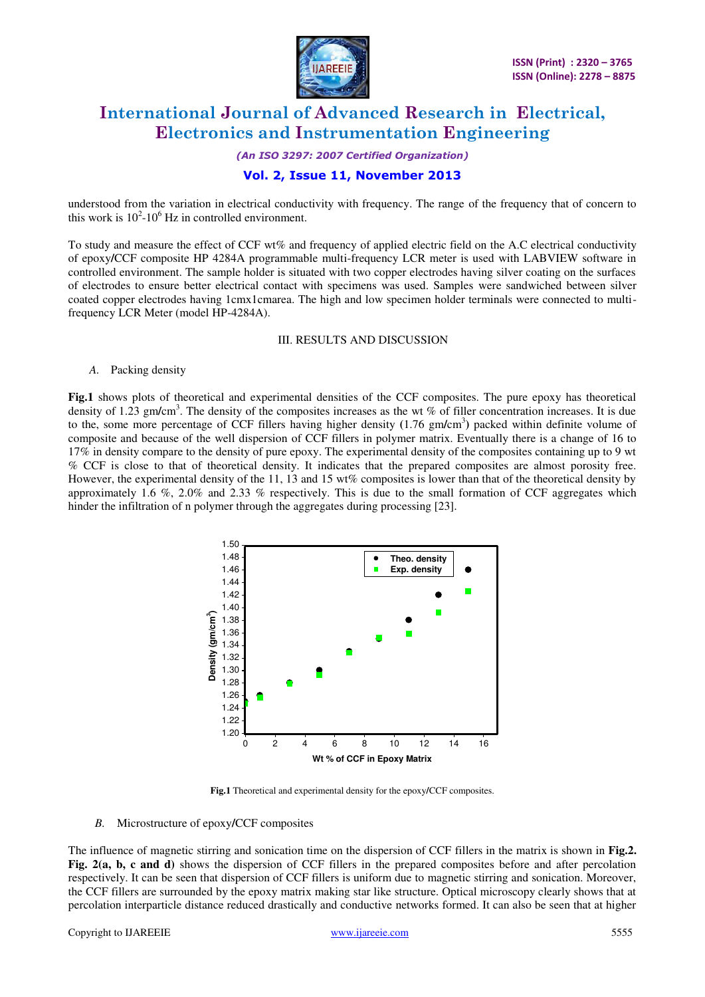

*(An ISO 3297: 2007 Certified Organization)* 

### **Vol. 2, Issue 11, November 2013**

understood from the variation in electrical conductivity with frequency. The range of the frequency that of concern to this work is  $10^2$ -10<sup>6</sup> Hz in controlled environment.

To study and measure the effect of CCF wt% and frequency of applied electric field on the A.C electrical conductivity of epoxy**/**CCF composite HP 4284A programmable multi-frequency LCR meter is used with LABVIEW software in controlled environment. The sample holder is situated with two copper electrodes having silver coating on the surfaces of electrodes to ensure better electrical contact with specimens was used. Samples were sandwiched between silver coated copper electrodes having 1cmx1cmarea. The high and low specimen holder terminals were connected to multifrequency LCR Meter (model HP-4284A).

### III. RESULTS AND DISCUSSION

#### *A.* Packing density

**Fig.1** shows plots of theoretical and experimental densities of the CCF composites. The pure epoxy has theoretical density of 1.23 gm/cm<sup>3</sup>. The density of the composites increases as the wt % of filler concentration increases. It is due to the, some more percentage of CCF fillers having higher density **(**1.76 gm**/**cm<sup>3</sup> **)** packed within definite volume of composite and because of the well dispersion of CCF fillers in polymer matrix. Eventually there is a change of 16 to 17% in density compare to the density of pure epoxy. The experimental density of the composites containing up to 9 wt % CCF is close to that of theoretical density. It indicates that the prepared composites are almost porosity free. However, the experimental density of the 11, 13 and 15 wt% composites is lower than that of the theoretical density by approximately 1.6 %, 2.0% and 2.33 % respectively. This is due to the small formation of CCF aggregates which hinder the infiltration of n polymer through the aggregates during processing [23].



**Fig.1** Theoretical and experimental density for the epoxy**/**CCF composites.

#### *B.* Microstructure of epoxy**/**CCF composites

The influence of magnetic stirring and sonication time on the dispersion of CCF fillers in the matrix is shown in **Fig.2. Fig. 2(a, b, c and d)** shows the dispersion of CCF fillers in the prepared composites before and after percolation respectively. It can be seen that dispersion of CCF fillers is uniform due to magnetic stirring and sonication. Moreover, the CCF fillers are surrounded by the epoxy matrix making star like structure. Optical microscopy clearly shows that at percolation interparticle distance reduced drastically and conductive networks formed. It can also be seen that at higher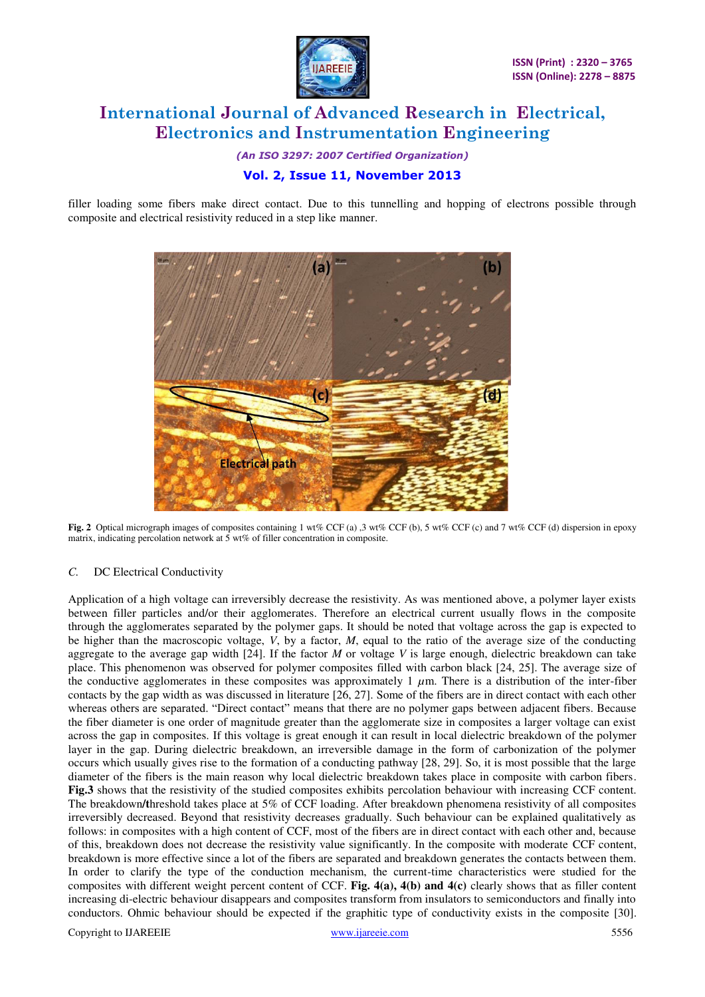

*(An ISO 3297: 2007 Certified Organization)* 

### **Vol. 2, Issue 11, November 2013**

filler loading some fibers make direct contact. Due to this tunnelling and hopping of electrons possible through composite and electrical resistivity reduced in a step like manner.



**Fig. 2** Optical micrograph images of composites containing 1 wt% CCF (a) ,3 wt% CCF (b), 5 wt% CCF (c) and 7 wt% CCF (d) dispersion in epoxy matrix, indicating percolation network at 5 wt% of filler concentration in composite.

### *C.* DC Electrical Conductivity

Application of a high voltage can irreversibly decrease the resistivity. As was mentioned above, a polymer layer exists between filler particles and/or their agglomerates. Therefore an electrical current usually flows in the composite through the agglomerates separated by the polymer gaps. It should be noted that voltage across the gap is expected to be higher than the macroscopic voltage, *V*, by a factor, *M*, equal to the ratio of the average size of the conducting aggregate to the average gap width [24]. If the factor *M* or voltage *V* is large enough, dielectric breakdown can take place. This phenomenon was observed for polymer composites filled with carbon black [24, 25]. The average size of the conductive agglomerates in these composites was approximately 1  $\mu$ m. There is a distribution of the inter-fiber contacts by the gap width as was discussed in literature [26, 27]. Some of the fibers are in direct contact with each other whereas others are separated. "Direct contact" means that there are no polymer gaps between adjacent fibers. Because the fiber diameter is one order of magnitude greater than the agglomerate size in composites a larger voltage can exist across the gap in composites. If this voltage is great enough it can result in local dielectric breakdown of the polymer layer in the gap. During dielectric breakdown, an irreversible damage in the form of carbonization of the polymer occurs which usually gives rise to the formation of a conducting pathway [28, 29]. So, it is most possible that the large diameter of the fibers is the main reason why local dielectric breakdown takes place in composite with carbon fibers. **Fig.3** shows that the resistivity of the studied composites exhibits percolation behaviour with increasing CCF content. The breakdown**/t**hreshold takes place at 5% of CCF loading. After breakdown phenomena resistivity of all composites irreversibly decreased. Beyond that resistivity decreases gradually. Such behaviour can be explained qualitatively as follows: in composites with a high content of CCF, most of the fibers are in direct contact with each other and, because of this, breakdown does not decrease the resistivity value significantly. In the composite with moderate CCF content, breakdown is more effective since a lot of the fibers are separated and breakdown generates the contacts between them. In order to clarify the type of the conduction mechanism, the current-time characteristics were studied for the composites with different weight percent content of CCF. **Fig. 4(a), 4(b) and 4(c)** clearly shows that as filler content increasing di-electric behaviour disappears and composites transform from insulators to semiconductors and finally into conductors. Ohmic behaviour should be expected if the graphitic type of conductivity exists in the composite [30].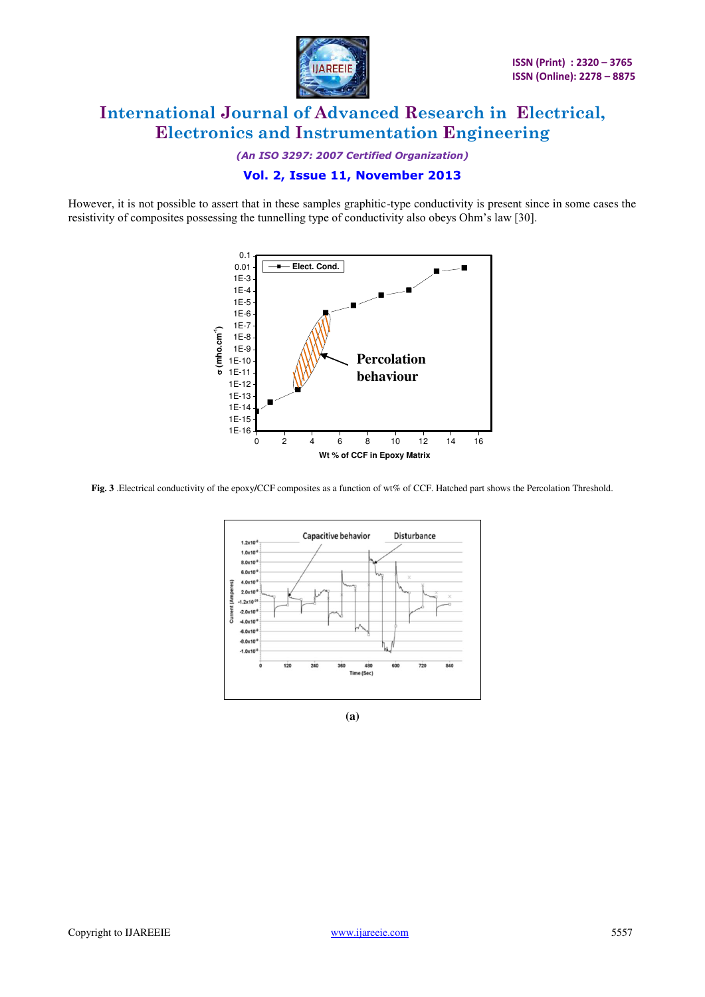

*(An ISO 3297: 2007 Certified Organization)* 

### **Vol. 2, Issue 11, November 2013**

However, it is not possible to assert that in these samples graphitic-type conductivity is present since in some cases the resistivity of composites possessing the tunnelling type of conductivity also obeys Ohm's law [30].



**Fig. 3** .Electrical conductivity of the epoxy**/**CCF composites as a function of wt% of CCF. Hatched part shows the Percolation Threshold.



**(a)**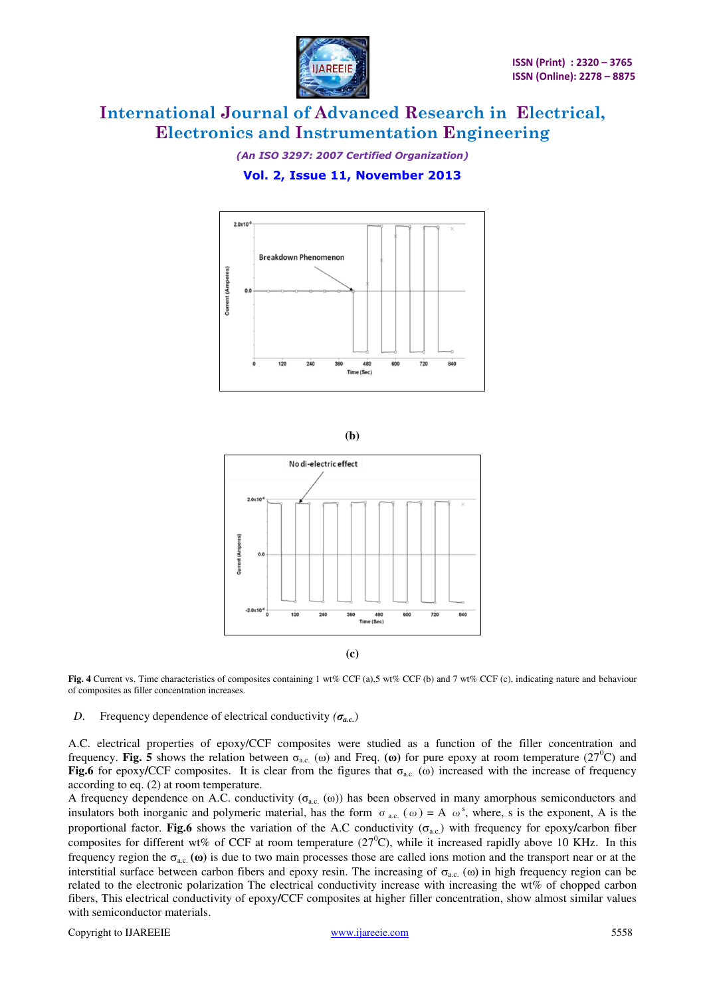

*(An ISO 3297: 2007 Certified Organization)* 

## **Vol. 2, Issue 11, November 2013**



**(b)** 



Fig. 4 Current vs. Time characteristics of composites containing 1 wt% CCF (a),5 wt% CCF (b) and 7 wt% CCF (c), indicating nature and behaviour of composites as filler concentration increases.

*D*. Frequency dependence of electrical conductivity *(σa.c.*)

A.C. electrical properties of epoxy/CCF composites were studied as a function of the filler concentration and frequency. Fig. 5 shows the relation between  $\sigma_{ac}$ . (ω) and Freq. (ω) for pure epoxy at room temperature (27<sup>0</sup>C) and **Fig.6** for epoxy/CCF composites. It is clear from the figures that  $\sigma_{ac}$ . (ω) increased with the increase of frequency according to eq. (2) at room temperature.

A frequency dependence on A.C. conductivity ( $\sigma_{ac}$ . (ω)) has been observed in many amorphous semiconductors and insulators both inorganic and polymeric material, has the form  $\sigma_{ac}$  ( $\omega$ ) = A  $\omega^s$ , where, s is the exponent, A is the proportional factor. **Fig.6** shows the variation of the A.C conductivity  $(\sigma_{ac})$  with frequency for epoxy/carbon fiber composites for different wt% of CCF at room temperature  $(27^0C)$ , while it increased rapidly above 10 KHz. In this frequency region the  $\sigma_{a,c}$  ( $\omega$ ) is due to two main processes those are called ions motion and the transport near or at the interstitial surface between carbon fibers and epoxy resin. The increasing of  $\sigma_{a.c.}$  ( $\omega$ ) in high frequency region can be related to the electronic polarization The electrical conductivity increase with increasing the wt% of chopped carbon fibers, This electrical conductivity of epoxy**/**CCF composites at higher filler concentration, show almost similar values with semiconductor materials.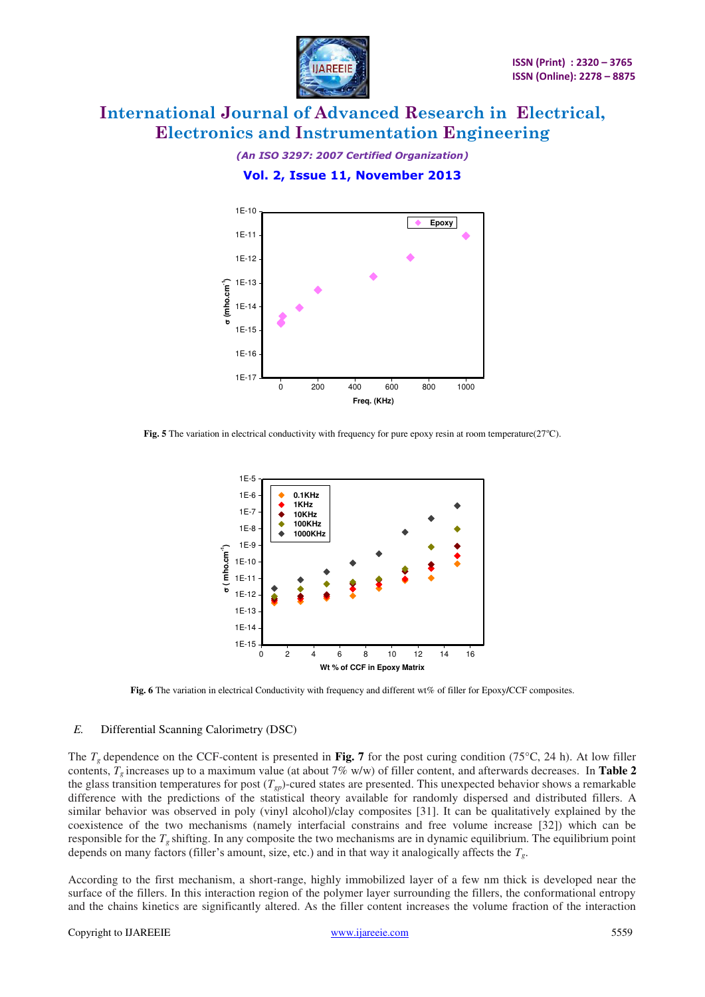

*(An ISO 3297: 2007 Certified Organization)* 

**Vol. 2, Issue 11, November 2013** 



Fig. 5 The variation in electrical conductivity with frequency for pure epoxy resin at room temperature(27°C).



**Fig. 6** The variation in electrical Conductivity with frequency and different wt% of filler for Epoxy**/**CCF composites.

### *E.* Differential Scanning Calorimetry (DSC)

The  $T_g$  dependence on the CCF-content is presented in Fig. 7 for the post curing condition (75 $\degree$ C, 24 h). At low filler contents, *Tg* increases up to a maximum value (at about 7% w/w) of filler content, and afterwards decreases. In **Table 2** the glass transition temperatures for post  $(T_{gp})$ -cured states are presented. This unexpected behavior shows a remarkable difference with the predictions of the statistical theory available for randomly dispersed and distributed fillers. A similar behavior was observed in poly (vinyl alcohol)/clay composites [31]. It can be qualitatively explained by the coexistence of the two mechanisms (namely interfacial constrains and free volume increase [32]) which can be responsible for the *Tg* shifting. In any composite the two mechanisms are in dynamic equilibrium. The equilibrium point depends on many factors (filler's amount, size, etc.) and in that way it analogically affects the *Tg*.

According to the first mechanism, a short-range, highly immobilized layer of a few nm thick is developed near the surface of the fillers. In this interaction region of the polymer layer surrounding the fillers, the conformational entropy and the chains kinetics are significantly altered. As the filler content increases the volume fraction of the interaction

#### Copyright to IJAREEIE [www.ijareeie.com](http://www.ijareeie.com/) 5559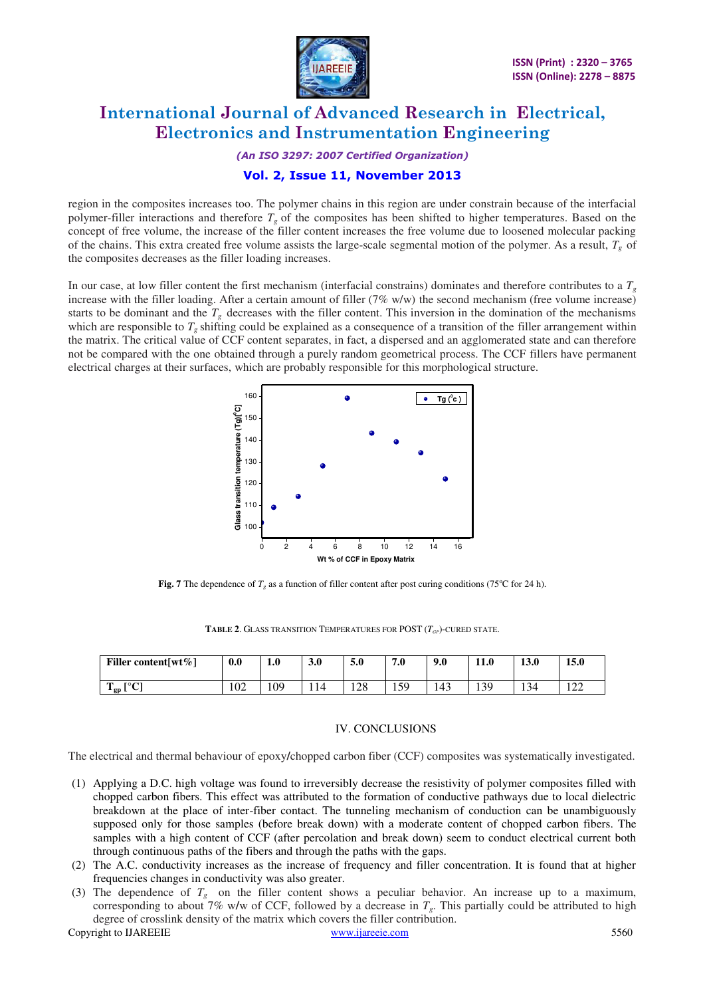

*(An ISO 3297: 2007 Certified Organization)* 

### **Vol. 2, Issue 11, November 2013**

region in the composites increases too. The polymer chains in this region are under constrain because of the interfacial polymer-filler interactions and therefore  $T_g$  of the composites has been shifted to higher temperatures. Based on the concept of free volume, the increase of the filler content increases the free volume due to loosened molecular packing of the chains. This extra created free volume assists the large-scale segmental motion of the polymer. As a result, *Tg* of the composites decreases as the filler loading increases.

In our case, at low filler content the first mechanism (interfacial constrains) dominates and therefore contributes to a *T<sup>g</sup>* increase with the filler loading. After a certain amount of filler  $(7\% \text{ w/w})$  the second mechanism (free volume increase) starts to be dominant and the  $T_g$  decreases with the filler content. This inversion in the domination of the mechanisms which are responsible to  $T_g$  shifting could be explained as a consequence of a transition of the filler arrangement within the matrix. The critical value of CCF content separates, in fact, a dispersed and an agglomerated state and can therefore not be compared with the one obtained through a purely random geometrical process. The CCF fillers have permanent electrical charges at their surfaces, which are probably responsible for this morphological structure.



**Fig. 7** The dependence of  $T_g$  as a function of filler content after post curing conditions (75<sup>o</sup>C for 24 h).

| <b>TABLE 2.</b> GLASS TRANSITION TEMPERATURES FOR POST $(T_{GP})$ -CURED STATE. |  |
|---------------------------------------------------------------------------------|--|
|---------------------------------------------------------------------------------|--|

| Filler content $w \in \mathcal{C}$ | 0.0 | 1.0 | 3.0 | 5.0 | 7.0         | 9.0 | <b>11.0</b> | 13.0 | 15.0                           |
|------------------------------------|-----|-----|-----|-----|-------------|-----|-------------|------|--------------------------------|
| LOCI<br>m<br>$\frac{1}{2}$ gp      | 102 | 109 | 14  | 128 | 50<br>1 J J | 143 | 30<br>1 J J | 134  | $1^{\prime}$<br>$\overline{1}$ |

#### IV. CONCLUSIONS

The electrical and thermal behaviour of epoxy**/**chopped carbon fiber (CCF) composites was systematically investigated.

- (1) Applying a D.C. high voltage was found to irreversibly decrease the resistivity of polymer composites filled with chopped carbon fibers. This effect was attributed to the formation of conductive pathways due to local dielectric breakdown at the place of inter-fiber contact. The tunneling mechanism of conduction can be unambiguously supposed only for those samples (before break down) with a moderate content of chopped carbon fibers. The samples with a high content of CCF (after percolation and break down) seem to conduct electrical current both through continuous paths of the fibers and through the paths with the gaps.
- (2) The A.C. conductivity increases as the increase of frequency and filler concentration. It is found that at higher frequencies changes in conductivity was also greater.
- (3) The dependence of  $T_g$  on the filler content shows a peculiar behavior. An increase up to a maximum, corresponding to about 7% w**/**w of CCF, followed by a decrease in *Tg*. This partially could be attributed to high degree of crosslink density of the matrix which covers the filler contribution.

Copyright to IJAREEIE [www.ijareeie.com](http://www.ijareeie.com/) 5560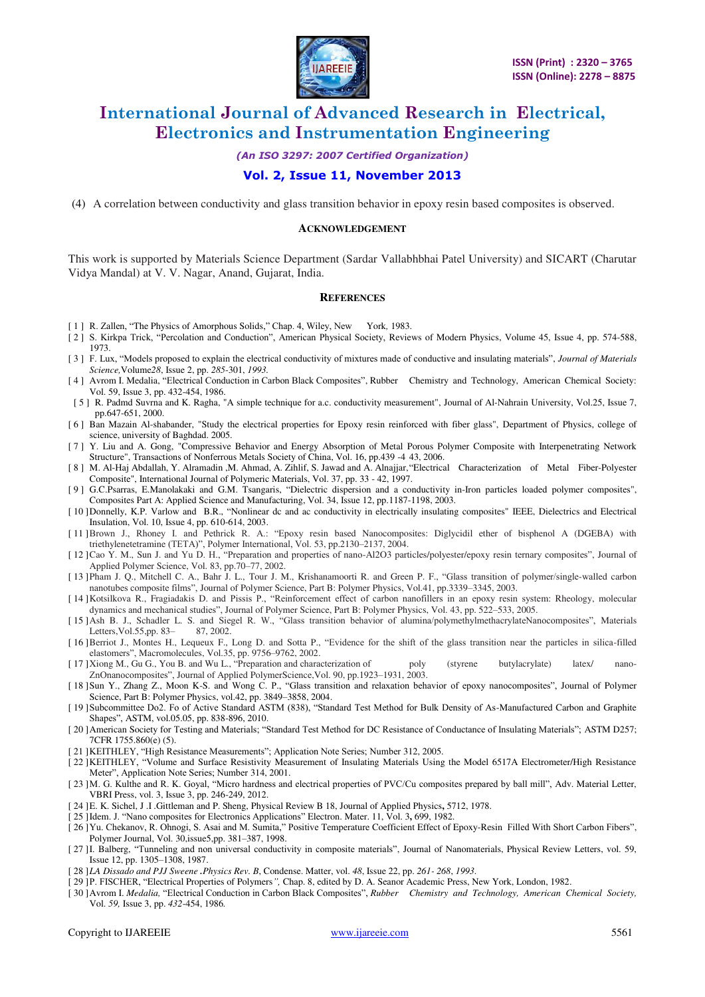

*(An ISO 3297: 2007 Certified Organization)* 

### **Vol. 2, Issue 11, November 2013**

(4) A correlation between conductivity and glass transition behavior in epoxy resin based composites is observed.

#### **ACKNOWLEDGEMENT**

This work is supported by Materials Science Department (Sardar Vallabhbhai Patel University) and SICART (Charutar Vidya Mandal) at V. V. Nagar, Anand, Gujarat, India.

#### **REFERENCES**

- [ 1 ] R. Zallen, "The Physics of Amorphous Solids," Chap. 4, Wiley, New York*,* 1983.
- [ 2 ] S. Kirkpa Trick, "Percolation and Conduction", American Physical Society, Reviews of Modern Physics, Volume 45, Issue 4, pp. 574-588, 1973.
- [3] F. Lux, "Models proposed to explain the electrical conductivity of mixtures made of conductive and insulating materials", *Journal of Materials Science,*Volume*28*, Issue 2, pp. *285*-301, *1993.*
- [ 4 ] Avrom I. Medalia, "Electrical Conduction in Carbon Black Composites", Rubber Chemistry and Technology, American Chemical Society: Vol. 59, Issue 3, pp. 432-454, 1986.
- [ 5 ] R. Padmd Suvrna and K. Ragha, "A simple technique for a.c. conductivity measurement", Journal of Al-Nahrain University, Vol.25, Issue 7, pp.647-651, 2000.
- [6] Ban Mazain Al-shabander, "Study the electrical properties for Epoxy resin reinforced with fiber glass", Department of Physics, college of science, university of Baghdad. 2005.
- [ 7 ] Y. Liu and A. Gong, "Compressive Behavior and Energy Absorption of Metal Porous Polymer Composite with Interpenetrating Network Structure", Transactions of Nonferrous Metals Society of China, Vol. 16, pp.439 -4 43, 2006.
- [ 8 ] M. Al-Haj Abdallah, Y. Alramadin ,M. Ahmad, A. Zihlif, S. Jawad and A. Alnajjar, "Electrical Characterization of Metal Fiber-Polyester Composite", International Journal of Polymeric Materials, Vol. 37, pp. 33 - 42, 1997.
- [ 9 ] G.C.Psarras, E.Manolakaki and G.M. Tsangaris, "Dielectric dispersion and a conductivity in-Iron particles loaded polymer composites", Composites Part A: Applied Science and Manufacturing, Vol. 34, Issue 12, pp.1187-1198, 2003.
- [10] Donnelly, K.P. Varlow and B.R., "Nonlinear dc and ac conductivity in electrically insulating composites" IEEE, Dielectrics and Electrical Insulation, Vol. 10, Issue 4, pp. 610-614, 2003.
- [ 11 ]Brown J., Rhoney I. and Pethrick R. A.: "Epoxy resin based Nanocomposites: Diglycidil ether of bisphenol A (DGEBA) with triethylenetetramine (TETA)", Polymer International, Vol. 53, pp.2130–2137, 2004.
- [ 12 ]Cao Y. M., Sun J. and Yu D. H., "Preparation and properties of nano-Al2O3 particles/polyester/epoxy resin ternary composites", Journal of Applied Polymer Science, Vol. 83, pp.70–77, 2002.
- [ 13 ]Pham J. Q., Mitchell C. A., Bahr J. L., Tour J. M., Krishanamoorti R. and Green P. F., "Glass transition of polymer/single-walled carbon nanotubes composite films", Journal of Polymer Science, Part B: Polymer Physics, Vol.41, pp.3339–3345, 2003.
- [ 14 ]Kotsilkova R., Fragiadakis D. and Pissis P., "Reinforcement effect of carbon nanofillers in an epoxy resin system: Rheology, molecular dynamics and mechanical studies", Journal of Polymer Science, Part B: Polymer Physics, Vol. 43, pp. 522–533, 2005.
- [ 15 ]Ash B. J., Schadler L. S. and Siegel R. W., "Glass transition behavior of alumina/polymethylmethacrylateNanocomposites", Materials Letters, Vol. $55$ , pp.  $83-$
- [ 16 ]Berriot J., Montes H., Lequeux F., Long D. and Sotta P., "Evidence for the shift of the glass transition near the particles in silica-filled elastomers", Macromolecules, Vol.35, pp. 9756–9762, 2002.
- [ 17 ]Xiong M., Gu G., You B. and Wu L., "Preparation and characterization of poly (styrene butylacrylate) latex/ nano-ZnOnanocomposites", Journal of Applied PolymerScience,Vol. 90, pp.1923–1931, 2003.
- [ 18 ]Sun Y., Zhang Z., Moon K-S. and Wong C. P., "Glass transition and relaxation behavior of epoxy nanocomposites", Journal of Polymer Science, Part B: Polymer Physics, vol.42, pp. 3849–3858, 2004.
- [ 19 ]Subcommittee Do2. Fo of Active Standard ASTM (838), "Standard Test Method for Bulk Density of As-Manufactured Carbon and Graphite Shapes", ASTM, vol.05.05, pp. 838-896, 2010.
- [ 20 ] American Society for Testing and Materials; "Standard Test Method for DC Resistance of Conductance of Insulating Materials"; ASTM D257; 7CFR 1755.860(e) (5).
- [ 21 ]KEITHLEY, "High Resistance Measurements"; Application Note Series; Number 312, 2005.
- [ 22 ]KEITHLEY, "Volume and Surface Resistivity Measurement of Insulating Materials Using the Model 6517A Electrometer/High Resistance Meter", Application Note Series; Number 314, 2001.
- [ 23 ]M. G. Kulthe and R. K. Goyal, "Micro hardness and electrical properties of PVC/Cu composites prepared by ball mill", Adv. Material Letter, VBRI Press, vol. 3, Issue 3, pp. 246-249, 2012.
- [ 24 ]E. K. Sichel, J .I .Gittleman and P. Sheng, Physical Review B 18, Journal of Applied Physics**,** 5712, 1978.
- [ 25 ]Idem. J. "Nano composites for Electronics Applications" Electron. Mater. 11, Vol. 3**,** 699, 1982.
- [ 26 ]Yu. Chekanov, R. Ohnogi, S. Asai and M. Sumita," Positive Temperature Coefficient Effect of Epoxy-Resin Filled With Short Carbon Fibers", Polymer Journal, Vol. 30,issue5,pp. 381–387, 1998.
- [ 27 ]I. Balberg, "Tunneling and non universal conductivity in composite materials", Journal of Nanomaterials, Physical Review Letters, vol. 59, Issue 12, pp. 1305–1308, 1987.
- [ 28 ]*LA Dissado and PJJ Sweene .Physics Rev. B*, Condense. Matter, vol. *48*, Issue 22, pp. *261- 268*, *1993.*
- [ 29 ]P. FISCHER, "Electrical Properties of Polymers*",* Chap. 8, edited by D. A. Seanor Academic Press, New York, London, 1982.
- [ 30 ]Avrom I. *Medalia,* "Electrical Conduction in Carbon Black Composites", *Rubber Chemistry and Technology, American Chemical Society,*  Vol. *59,* Issue 3, pp. *432*-454, 1986*.*